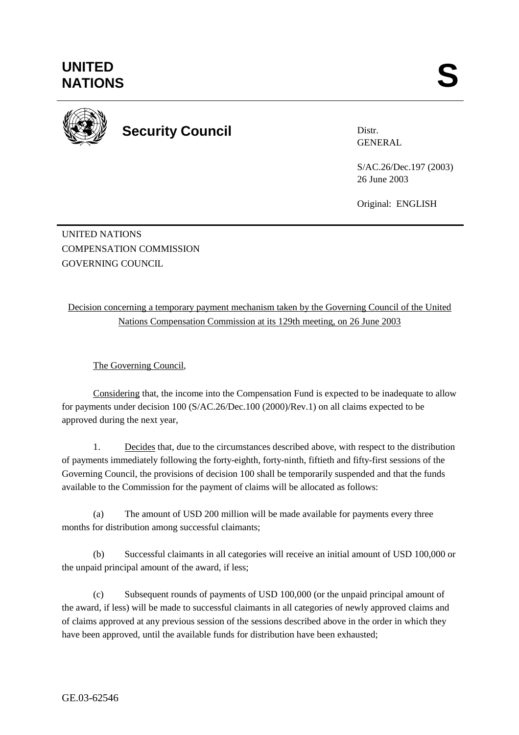

**Security Council** 

Distr. GENERAL

S/AC.26/Dec.197 (2003) 26 June 2003

Original: ENGLISH

UNITED NATIONS COMPENSATION COMMISSION GOVERNING COUNCIL

Decision concerning a temporary payment mechanism taken by the Governing Council of the United Nations Compensation Commission at its 129th meeting, on 26 June 2003

The Governing Council,

 Considering that, the income into the Compensation Fund is expected to be inadequate to allow for payments under decision 100 (S/AC.26/Dec.100 (2000)/Rev.1) on all claims expected to be approved during the next year,

1. Decides that, due to the circumstances described above, with respect to the distribution of payments immediately following the forty-eighth, forty-ninth, fiftieth and fifty-first sessions of the Governing Council, the provisions of decision 100 shall be temporarily suspended and that the funds available to the Commission for the payment of claims will be allocated as follows:

(a) The amount of USD 200 million will be made available for payments every three months for distribution among successful claimants;

(b) Successful claimants in all categories will receive an initial amount of USD 100,000 or the unpaid principal amount of the award, if less;

(c) Subsequent rounds of payments of USD 100,000 (or the unpaid principal amount of the award, if less) will be made to successful claimants in all categories of newly approved claims and of claims approved at any previous session of the sessions described above in the order in which they have been approved, until the available funds for distribution have been exhausted;